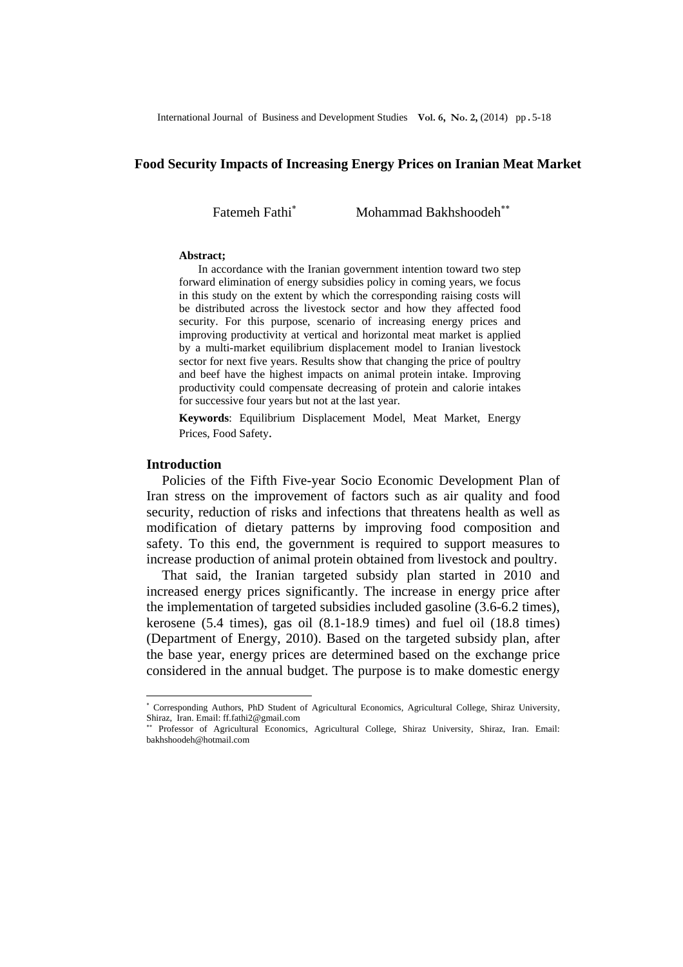#### **Food Security Impacts of Increasing Energy Prices on Iranian Meat Market**

Fatemeh Fathi<sup>∗</sup>

Mohammad Bakhshoodeh<sup>\*\*</sup>

#### **Abstract;**

 In accordance with the Iranian government intention toward two step forward elimination of energy subsidies policy in coming years, we focus in this study on the extent by which the corresponding raising costs will be distributed across the livestock sector and how they affected food security. For this purpose, scenario of increasing energy prices and improving productivity at vertical and horizontal meat market is applied by a multi-market equilibrium displacement model to Iranian livestock sector for next five years. Results show that changing the price of poultry and beef have the highest impacts on animal protein intake. Improving productivity could compensate decreasing of protein and calorie intakes for successive four years but not at the last year.

**Keywords**: Equilibrium Displacement Model, Meat Market, Energy Prices, Food Safety.

### **Introduction**

l

Policies of the Fifth Five-year Socio Economic Development Plan of Iran stress on the improvement of factors such as air quality and food security, reduction of risks and infections that threatens health as well as modification of dietary patterns by improving food composition and safety. To this end, the government is required to support measures to increase production of animal protein obtained from livestock and poultry.

That said, the Iranian targeted subsidy plan started in 2010 and increased energy prices significantly. The increase in energy price after the implementation of targeted subsidies included gasoline (3.6-6.2 times), kerosene (5.4 times), gas oil (8.1-18.9 times) and fuel oil (18.8 times) (Department of Energy, 2010). Based on the targeted subsidy plan, after the base year, energy prices are determined based on the exchange price considered in the annual budget. The purpose is to make domestic energy

<sup>∗</sup> Corresponding Authors, PhD Student of Agricultural Economics, Agricultural College, Shiraz University, Shiraz, Iran. Email: ff.fathi2@gmail.com

<sup>∗∗</sup> Professor of Agricultural Economics, Agricultural College, Shiraz University, Shiraz, Iran. Email: bakhshoodeh@hotmail.com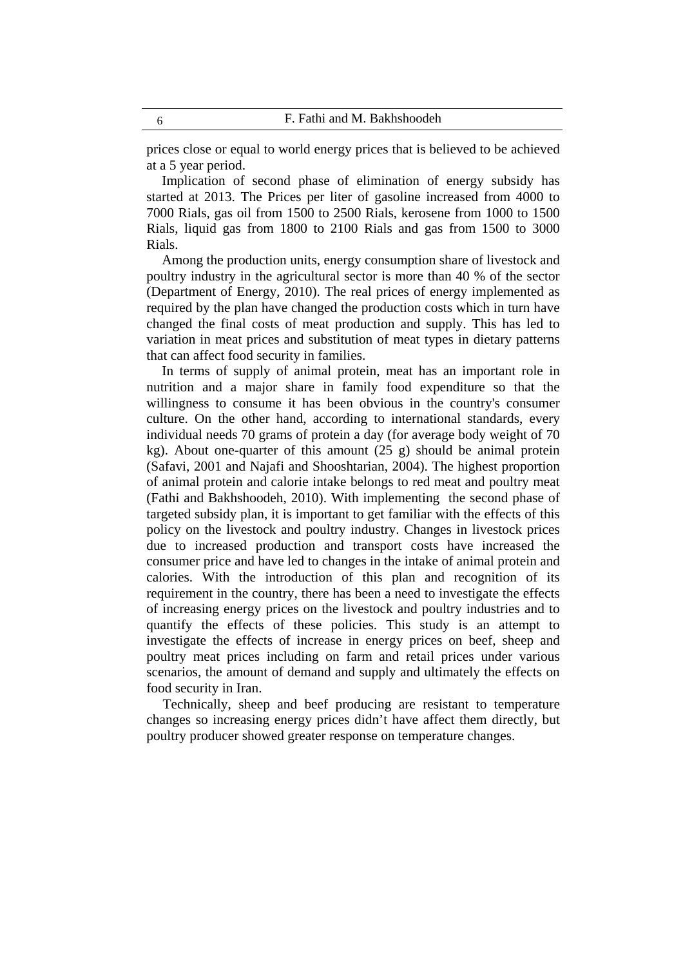prices close or equal to world energy prices that is believed to be achieved at a 5 year period.

Implication of second phase of elimination of energy subsidy has started at 2013. The Prices per liter of gasoline increased from 4000 to 7000 Rials, gas oil from 1500 to 2500 Rials, kerosene from 1000 to 1500 Rials, liquid gas from 1800 to 2100 Rials and gas from 1500 to 3000 Rials.

Among the production units, energy consumption share of livestock and poultry industry in the agricultural sector is more than 40 % of the sector (Department of Energy, 2010). The real prices of energy implemented as required by the plan have changed the production costs which in turn have changed the final costs of meat production and supply. This has led to variation in meat prices and substitution of meat types in dietary patterns that can affect food security in families.

In terms of supply of animal protein, meat has an important role in nutrition and a major share in family food expenditure so that the willingness to consume it has been obvious in the country's consumer culture. On the other hand, according to international standards, every individual needs 70 grams of protein a day (for average body weight of 70 kg). About one-quarter of this amount (25 g) should be animal protein (Safavi, 2001 and Najafi and Shooshtarian, 2004). The highest proportion of animal protein and calorie intake belongs to red meat and poultry meat (Fathi and Bakhshoodeh, 2010). With implementing the second phase of targeted subsidy plan, it is important to get familiar with the effects of this policy on the livestock and poultry industry. Changes in livestock prices due to increased production and transport costs have increased the consumer price and have led to changes in the intake of animal protein and calories. With the introduction of this plan and recognition of its requirement in the country, there has been a need to investigate the effects of increasing energy prices on the livestock and poultry industries and to quantify the effects of these policies. This study is an attempt to investigate the effects of increase in energy prices on beef, sheep and poultry meat prices including on farm and retail prices under various scenarios, the amount of demand and supply and ultimately the effects on food security in Iran.

Technically, sheep and beef producing are resistant to temperature changes so increasing energy prices didn't have affect them directly, but poultry producer showed greater response on temperature changes.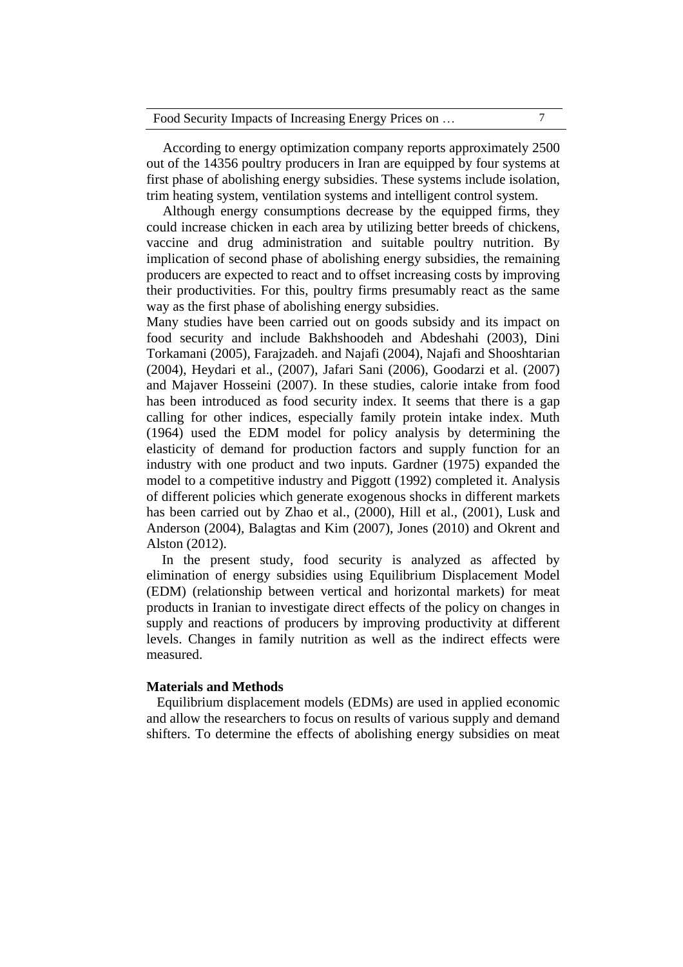|  | Food Security Impacts of Increasing Energy Prices on |  |
|--|------------------------------------------------------|--|
|  |                                                      |  |

According to energy optimization company reports approximately 2500 out of the 14356 poultry producers in Iran are equipped by four systems at first phase of abolishing energy subsidies. These systems include isolation, trim heating system, ventilation systems and intelligent control system.

Although energy consumptions decrease by the equipped firms, they could increase chicken in each area by utilizing better breeds of chickens, vaccine and drug administration and suitable poultry nutrition. By implication of second phase of abolishing energy subsidies, the remaining producers are expected to react and to offset increasing costs by improving their productivities. For this, poultry firms presumably react as the same way as the first phase of abolishing energy subsidies.

Many studies have been carried out on goods subsidy and its impact on food security and include Bakhshoodeh and Abdeshahi (2003), Dini Torkamani (2005), Farajzadeh. and Najafi (2004), Najafi and Shooshtarian (2004), Heydari et al., (2007), Jafari Sani (2006), Goodarzi et al. (2007) and Majaver Hosseini (2007). In these studies, calorie intake from food has been introduced as food security index. It seems that there is a gap calling for other indices, especially family protein intake index. Muth (1964) used the EDM model for policy analysis by determining the elasticity of demand for production factors and supply function for an industry with one product and two inputs. Gardner (1975) expanded the model to a competitive industry and Piggott (1992) completed it. Analysis of different policies which generate exogenous shocks in different markets has been carried out by Zhao et al., (2000), Hill et al., (2001), Lusk and Anderson (2004), Balagtas and Kim (2007), Jones (2010) and Okrent and Alston (2012).

In the present study, food security is analyzed as affected by elimination of energy subsidies using Equilibrium Displacement Model (EDM) (relationship between vertical and horizontal markets) for meat products in Iranian to investigate direct effects of the policy on changes in supply and reactions of producers by improving productivity at different levels. Changes in family nutrition as well as the indirect effects were measured.

### **Materials and Methods**

Equilibrium displacement models (EDMs) are used in applied economic and allow the researchers to focus on results of various supply and demand shifters. To determine the effects of abolishing energy subsidies on meat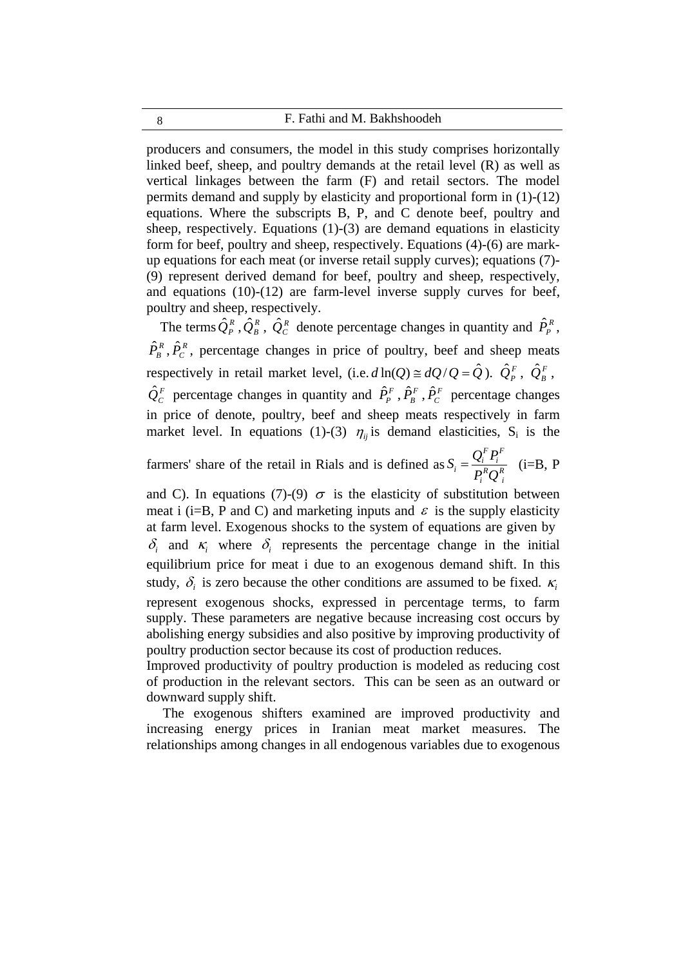8 F. Fathi and M. Bakhshoodeh

producers and consumers, the model in this study comprises horizontally linked beef, sheep, and poultry demands at the retail level (R) as well as vertical linkages between the farm (F) and retail sectors. The model permits demand and supply by elasticity and proportional form in (1)-(12) equations. Where the subscripts B, P, and C denote beef, poultry and sheep, respectively. Equations (1)-(3) are demand equations in elasticity form for beef, poultry and sheep, respectively. Equations (4)-(6) are markup equations for each meat (or inverse retail supply curves); equations (7)- (9) represent derived demand for beef, poultry and sheep, respectively, and equations (10)-(12) are farm-level inverse supply curves for beef, poultry and sheep, respectively.

The terms  $\hat{Q}_P^R$ ,  $\hat{Q}_B^R$ ,  $\hat{Q}_C^R$  denote percentage changes in quantity and  $\hat{P}_P^R$ ,  $\hat{P}_{B}^{R}$ ,  $\hat{P}_{C}^{R}$ , percentage changes in price of poultry, beef and sheep meats respectively in retail market level, (i.e.  $d \ln(Q) \approx dQ/Q = \hat{Q}$ ).  $\hat{Q}_P^F$ ,  $\hat{Q}_B^F$ ,  $\hat{Q}_c^F$  percentage changes in quantity and  $\hat{P}_P^F$ ,  $\hat{P}_B^F$ ,  $\hat{P}_C^F$  percentage changes in price of denote, poultry, beef and sheep meats respectively in farm market level. In equations (1)-(3)  $\eta_{ij}$  is demand elasticities, S<sub>i</sub> is the

farmers' share of the retail in Rials and is defined as  $S_i = \frac{\sum_i \mathbf{r}_i}{R \cap R}$ *i R i F i F*  $i = \frac{Q_i I_i}{P_i R Q}$  $S_i = \frac{Q_i^F P_i^F}{R_i^B R_i^B}$  (i=B, P

and C). In equations (7)-(9)  $\sigma$  is the elasticity of substitution between meat i (i=B, P and C) and marketing inputs and  $\varepsilon$  is the supply elasticity at farm level. Exogenous shocks to the system of equations are given by  $\delta_i$  and  $\kappa_i$  where  $\delta_i$  represents the percentage change in the initial equilibrium price for meat i due to an exogenous demand shift. In this study,  $\delta_i$  is zero because the other conditions are assumed to be fixed.  $\kappa_i$ represent exogenous shocks, expressed in percentage terms, to farm supply. These parameters are negative because increasing cost occurs by abolishing energy subsidies and also positive by improving productivity of poultry production sector because its cost of production reduces.

Improved productivity of poultry production is modeled as reducing cost of production in the relevant sectors. This can be seen as an outward or downward supply shift.

The exogenous shifters examined are improved productivity and increasing energy prices in Iranian meat market measures. The relationships among changes in all endogenous variables due to exogenous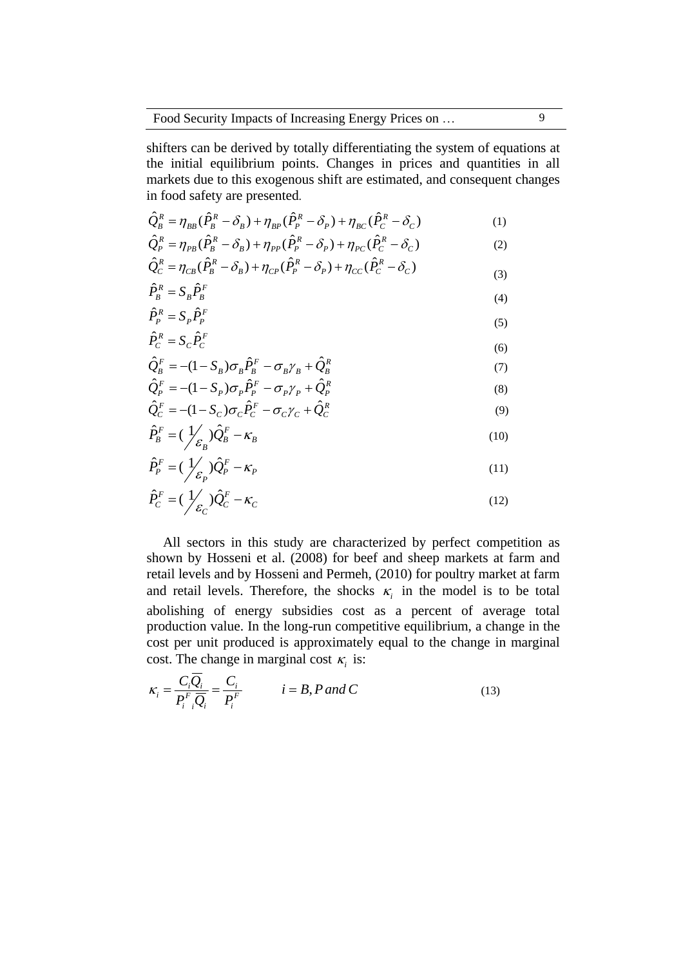shifters can be derived by totally differentiating the system of equations at the initial equilibrium points. Changes in prices and quantities in all markets due to this exogenous shift are estimated, and consequent changes in food safety are presented.

$$
\hat{Q}_{B}^{R} = \eta_{BB} (\hat{P}_{B}^{R} - \delta_{B}) + \eta_{BP} (\hat{P}_{P}^{R} - \delta_{P}) + \eta_{BC} (\hat{P}_{C}^{R} - \delta_{C})
$$
\n(1)

$$
\hat{Q}_P^R = \eta_{PB}(\hat{P}_B^R - \delta_B) + \eta_{PP}(\hat{P}_P^R - \delta_P) + \eta_{PC}(\hat{P}_C^R - \delta_C)
$$
\n(2)

$$
\hat{Q}_C^R = \eta_{CB}(\hat{P}_B^R - \delta_B) + \eta_{CP}(\hat{P}_P^R - \delta_P) + \eta_{CC}(\hat{P}_C^R - \delta_C)
$$
\n<sup>(3)</sup>

$$
\hat{P}_B^R = S_B \hat{P}_B^F \tag{4}
$$

$$
\hat{P}_P^R = S_P \hat{P}_P^F \tag{5}
$$

$$
\hat{P}_C^R = S_C \hat{P}_C^F \tag{6}
$$

$$
\hat{Q}_{B}^{F} = -(1 - S_B)\sigma_B \hat{P}_{B}^{F} - \sigma_B \gamma_B + \hat{Q}_{B}^{R}
$$
\n(7)

$$
\hat{Q}_P^F = -(1 - S_P)\sigma_P \hat{P}_P^F - \sigma_P \gamma_P + \hat{Q}_P^R
$$
\n(8)

$$
\hat{Q}_C^F = -(1 - S_C)\sigma_C \hat{P}_C^F - \sigma_C \gamma_C + \hat{Q}_C^R
$$
\n
$$
\hat{Q}_C^F = -\frac{1}{2} \left( \hat{Q}_C \hat{P}_C - \hat{Q}_C \hat{P}_C \right)
$$
\n(9)

$$
\hat{P}_B^F = (\frac{1}{\varepsilon_B})\hat{Q}_B^F - \kappa_B
$$
\n(10)

$$
\hat{P}_P^F = (\frac{1}{\mathcal{E}_P})\hat{Q}_P^F - \kappa_P
$$
\n(11)

$$
\hat{P}_C^F = (\frac{1}{\varepsilon_C})\hat{Q}_C^F - \kappa_C
$$
\n(12)

All sectors in this study are characterized by perfect competition as shown by Hosseni et al. (2008) for beef and sheep markets at farm and retail levels and by Hosseni and Permeh, (2010) for poultry market at farm and retail levels. Therefore, the shocks  $\kappa_i$  in the model is to be total abolishing of energy subsidies cost as a percent of average total production value. In the long-run competitive equilibrium, a change in the cost per unit produced is approximately equal to the change in marginal cost. The change in marginal cost  $\kappa_i$  is:

$$
\kappa_i = \frac{C_i \overline{Q}_i}{P_i^F \overline{Q}_i} = \frac{C_i}{P_i^F} \qquad i = B, P \text{ and } C \qquad (13)
$$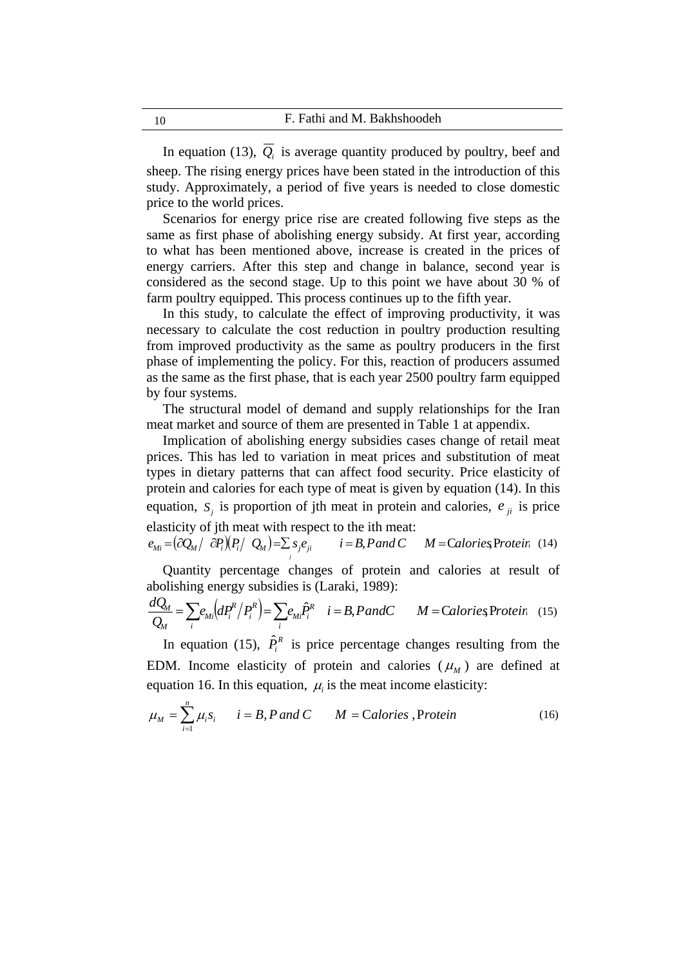In equation (13),  $\overline{Q}_i$  is average quantity produced by poultry, beef and sheep. The rising energy prices have been stated in the introduction of this study. Approximately, a period of five years is needed to close domestic price to the world prices.

Scenarios for energy price rise are created following five steps as the same as first phase of abolishing energy subsidy. At first year, according to what has been mentioned above, increase is created in the prices of energy carriers. After this step and change in balance, second year is considered as the second stage. Up to this point we have about 30 % of farm poultry equipped. This process continues up to the fifth year.

In this study, to calculate the effect of improving productivity, it was necessary to calculate the cost reduction in poultry production resulting from improved productivity as the same as poultry producers in the first phase of implementing the policy. For this, reaction of producers assumed as the same as the first phase, that is each year 2500 poultry farm equipped by four systems.

The structural model of demand and supply relationships for the Iran meat market and source of them are presented in Table 1 at appendix.

Implication of abolishing energy subsidies cases change of retail meat prices. This has led to variation in meat prices and substitution of meat types in dietary patterns that can affect food security. Price elasticity of protein and calories for each type of meat is given by equation (14). In this equation,  $S_i$  is proportion of jth meat in protein and calories,  $e_{ii}$  is price elasticity of jth meat with respect to the ith meat:

 $e_{Mi} = \left(\frac{\partial Q_{Mi}}{\partial P_i}\right) \left(P_i / Q_{Mi}\right) = \sum_j s_j e_{ji}$   $i = B, P \text{ and } C \quad M = \text{Calories}$ Protein (14)

Quantity percentage changes of protein and calories at result of abolishing energy subsidies is (Laraki, 1989):

$$
\frac{dQ_M}{Q_M} = \sum_i e_{Mi} \left( dP_i^R / P_i^R \right) = \sum_i e_{Mi} \hat{P}_i^R \quad i = B, PandC \qquad M = CaloriesProtein \quad (15)
$$

In equation (15),  $\hat{P}_i^R$  is price percentage changes resulting from the EDM. Income elasticity of protein and calories  $(\mu_M)$  are defined at equation 16. In this equation,  $\mu_i$  is the meat income elasticity:

$$
\mu_M = \sum_{i=1}^n \mu_i s_i \qquad i = B, P \text{ and } C \qquad M = \text{Calories, Protein} \tag{16}
$$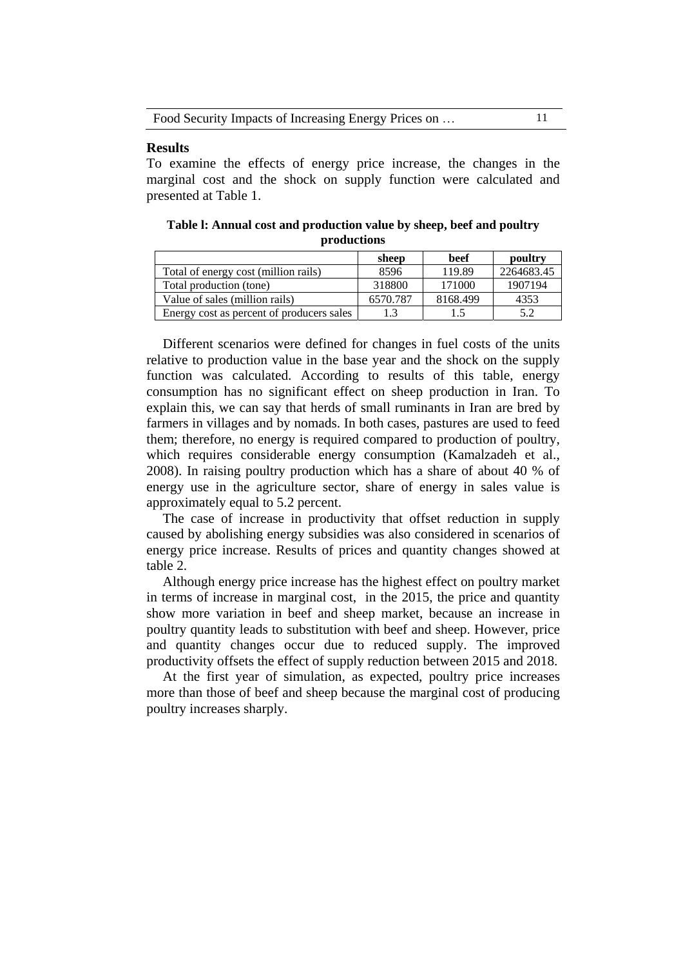| Food Security Impacts of Increasing Energy Prices on |  |
|------------------------------------------------------|--|
|------------------------------------------------------|--|

### **Results**

To examine the effects of energy price increase, the changes in the marginal cost and the shock on supply function were calculated and presented at Table 1.

**Table l: Annual cost and production value by sheep, beef and poultry productions** 

|                                           | sheep    | beef     | poultry    |
|-------------------------------------------|----------|----------|------------|
| Total of energy cost (million rails)      | 8596     | 119.89   | 2264683.45 |
| Total production (tone)                   | 318800   | 171000   | 1907194    |
| Value of sales (million rails)            | 6570.787 | 8168.499 | 4353       |
| Energy cost as percent of producers sales |          | 1.5      | 5.2        |

Different scenarios were defined for changes in fuel costs of the units relative to production value in the base year and the shock on the supply function was calculated. According to results of this table, energy consumption has no significant effect on sheep production in Iran. To explain this, we can say that herds of small ruminants in Iran are bred by farmers in villages and by nomads. In both cases, pastures are used to feed them; therefore, no energy is required compared to production of poultry, which requires considerable energy consumption (Kamalzadeh et al., 2008). In raising poultry production which has a share of about 40 % of energy use in the agriculture sector, share of energy in sales value is approximately equal to 5.2 percent.

The case of increase in productivity that offset reduction in supply caused by abolishing energy subsidies was also considered in scenarios of energy price increase. Results of prices and quantity changes showed at table 2.

Although energy price increase has the highest effect on poultry market in terms of increase in marginal cost, in the 2015, the price and quantity show more variation in beef and sheep market, because an increase in poultry quantity leads to substitution with beef and sheep. However, price and quantity changes occur due to reduced supply. The improved productivity offsets the effect of supply reduction between 2015 and 2018.

At the first year of simulation, as expected, poultry price increases more than those of beef and sheep because the marginal cost of producing poultry increases sharply.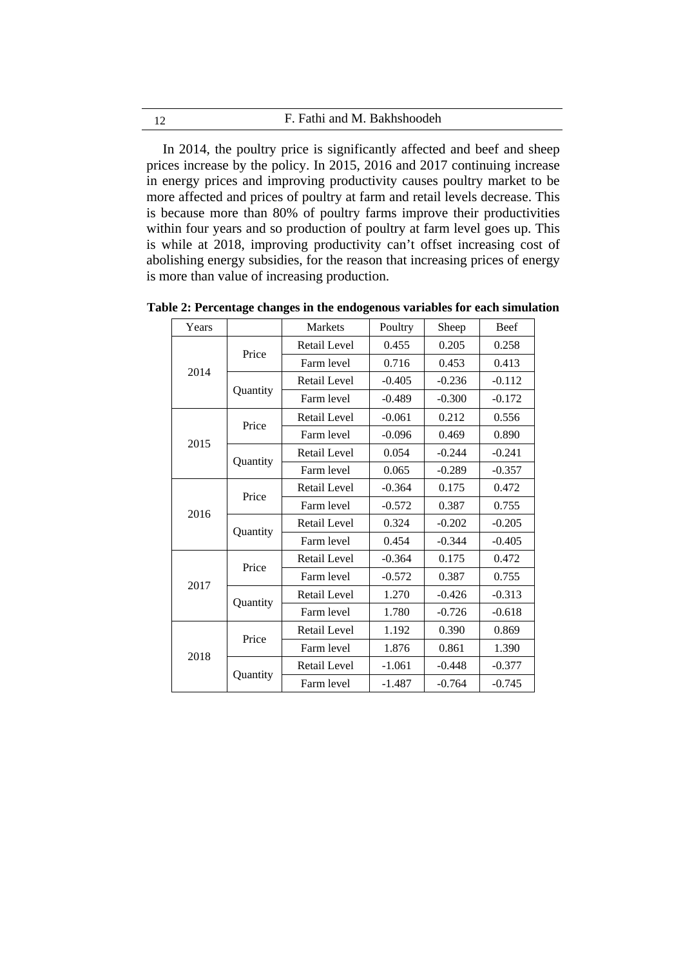| F. Fathi and M. Bakhshoodeh<br>12 |
|-----------------------------------|
|-----------------------------------|

In 2014, the poultry price is significantly affected and beef and sheep prices increase by the policy. In 2015, 2016 and 2017 continuing increase in energy prices and improving productivity causes poultry market to be more affected and prices of poultry at farm and retail levels decrease. This is because more than 80% of poultry farms improve their productivities within four years and so production of poultry at farm level goes up. This is while at 2018, improving productivity can't offset increasing cost of abolishing energy subsidies, for the reason that increasing prices of energy is more than value of increasing production.

Years | Markets | Poultry | Sheep | Beef 2014 Price Retail Level 0.455 0.205 0.258 Farm level 0.716 0.453 0.413 **Ouantity** Retail Level  $\vert$  -0.405  $\vert$  -0.236  $\vert$  -0.112 Farm level  $\vert$  -0.489 -0.300 -0.172 2015 Price Retail Level | -0.061 | 0.212 | 0.556 Farm level  $-0.096$  0.469 0.890 **Ouantity** Retail Level  $\begin{array}{|c|c|c|c|c|} \hline 0.054 & -0.244 & -0.241 \ \hline \end{array}$ Farm level  $\begin{array}{|c|c|c|c|c|} \hline 0.065 & -0.289 & -0.357 \hline \end{array}$ 2016 Price Retail Level | -0.364 | 0.175 | 0.472 Farm level | -0.572 | 0.387 | 0.755 **Ouantity** Retail Level 0.324 -0.202 -0.205 Farm level  $\begin{array}{|c|c|c|c|c|} \hline 0.454 & -0.344 & -0.405 \hline \end{array}$ 2017 Price Retail Level | -0.364 | 0.175 | 0.472 Farm level  $\begin{array}{|c|c|c|c|c|} \hline -0.572 & 0.387 & 0.755 \hline \end{array}$ **Ouantity** Retail Level 1.270 -0.426 -0.313 Farm level 1.780 -0.726 -0.618 2018 Price Retail Level | 1.192 | 0.390 | 0.869 Farm level 1.876 0.861 1.390 **Ouantity** Retail Level | -1.061 | -0.448 | -0.377 Farm level  $-1.487$   $-0.764$   $-0.745$ 

**Table 2: Percentage changes in the endogenous variables for each simulation**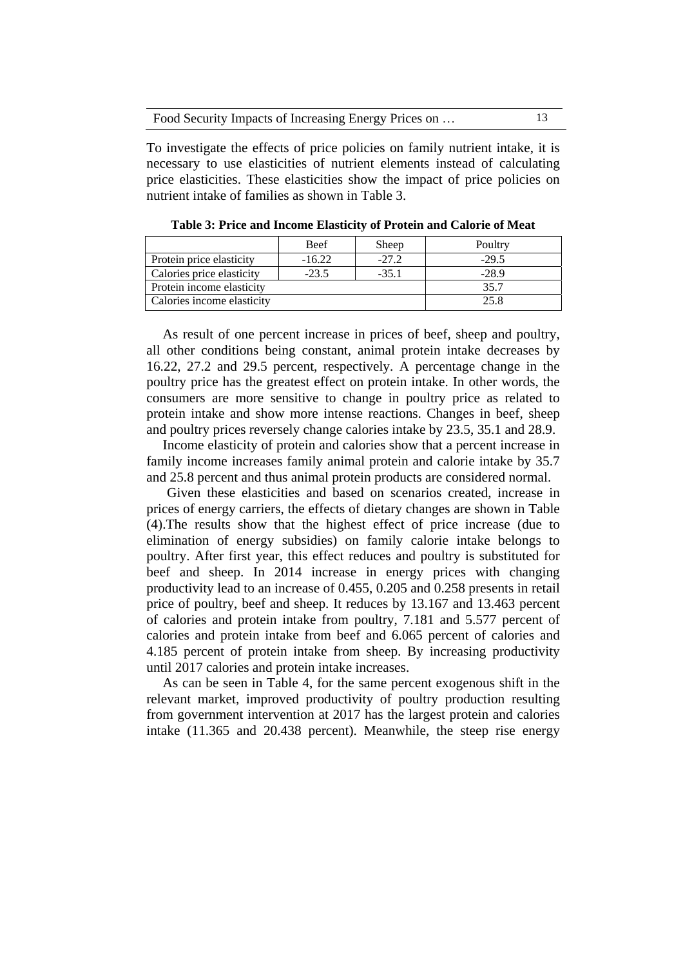| Food Security Impacts of Increasing Energy Prices on |  |
|------------------------------------------------------|--|
|------------------------------------------------------|--|

To investigate the effects of price policies on family nutrient intake, it is necessary to use elasticities of nutrient elements instead of calculating price elasticities. These elasticities show the impact of price policies on nutrient intake of families as shown in Table 3.

|                            | <b>Beef</b> | Sheep   | Poultry |
|----------------------------|-------------|---------|---------|
| Protein price elasticity   | $-16.22$    | $-27.2$ | $-29.5$ |
| Calories price elasticity  | $-23.5$     | $-35.1$ | $-28.9$ |
| Protein income elasticity  |             |         | 35.7    |
| Calories income elasticity |             |         | 25.8    |

**Table 3: Price and Income Elasticity of Protein and Calorie of Meat** 

As result of one percent increase in prices of beef, sheep and poultry, all other conditions being constant, animal protein intake decreases by 16.22, 27.2 and 29.5 percent, respectively. A percentage change in the poultry price has the greatest effect on protein intake. In other words, the consumers are more sensitive to change in poultry price as related to protein intake and show more intense reactions. Changes in beef, sheep and poultry prices reversely change calories intake by 23.5, 35.1 and 28.9.

Income elasticity of protein and calories show that a percent increase in family income increases family animal protein and calorie intake by 35.7 and 25.8 percent and thus animal protein products are considered normal.

Given these elasticities and based on scenarios created, increase in prices of energy carriers, the effects of dietary changes are shown in Table (4).The results show that the highest effect of price increase (due to elimination of energy subsidies) on family calorie intake belongs to poultry. After first year, this effect reduces and poultry is substituted for beef and sheep. In 2014 increase in energy prices with changing productivity lead to an increase of 0.455, 0.205 and 0.258 presents in retail price of poultry, beef and sheep. It reduces by 13.167 and 13.463 percent of calories and protein intake from poultry, 7.181 and 5.577 percent of calories and protein intake from beef and 6.065 percent of calories and 4.185 percent of protein intake from sheep. By increasing productivity until 2017 calories and protein intake increases.

As can be seen in Table 4, for the same percent exogenous shift in the relevant market, improved productivity of poultry production resulting from government intervention at 2017 has the largest protein and calories intake (11.365 and 20.438 percent). Meanwhile, the steep rise energy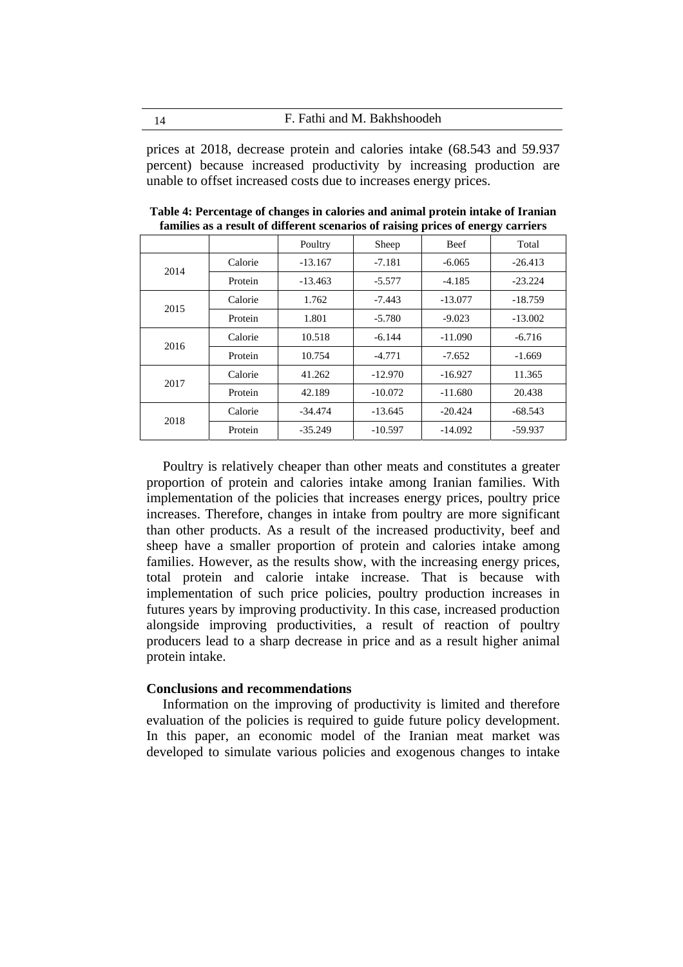14 F. Fathi and M. Bakhshoodeh

prices at 2018, decrease protein and calories intake (68.543 and 59.937 percent) because increased productivity by increasing production are unable to offset increased costs due to increases energy prices.

|      |         | Poultry   | Sheep     | Beef      | Total     |
|------|---------|-----------|-----------|-----------|-----------|
| 2014 | Calorie | $-13.167$ | $-7.181$  | $-6.065$  | $-26.413$ |
|      | Protein | $-13.463$ | $-5.577$  | $-4.185$  | $-23.224$ |
| 2015 | Calorie | 1.762     | $-7.443$  | $-13.077$ | $-18.759$ |
|      | Protein | 1.801     | $-5.780$  | $-9.023$  | $-13.002$ |
| 2016 | Calorie | 10.518    | $-6.144$  | $-11.090$ | $-6.716$  |
|      | Protein | 10.754    | $-4.771$  | $-7.652$  | $-1.669$  |
| 2017 | Calorie | 41.262    | $-12.970$ | $-16.927$ | 11.365    |
|      | Protein | 42.189    | $-10.072$ | $-11.680$ | 20.438    |
| 2018 | Calorie | $-34.474$ | $-13.645$ | $-20.424$ | $-68.543$ |
|      | Protein | $-35.249$ | $-10.597$ | $-14.092$ | $-59.937$ |

**Table 4: Percentage of changes in calories and animal protein intake of Iranian families as a result of different scenarios of raising prices of energy carriers** 

Poultry is relatively cheaper than other meats and constitutes a greater proportion of protein and calories intake among Iranian families. With implementation of the policies that increases energy prices, poultry price increases. Therefore, changes in intake from poultry are more significant than other products. As a result of the increased productivity, beef and sheep have a smaller proportion of protein and calories intake among families. However, as the results show, with the increasing energy prices, total protein and calorie intake increase. That is because with implementation of such price policies, poultry production increases in futures years by improving productivity. In this case, increased production alongside improving productivities, a result of reaction of poultry producers lead to a sharp decrease in price and as a result higher animal protein intake.

#### **Conclusions and recommendations**

Information on the improving of productivity is limited and therefore evaluation of the policies is required to guide future policy development. In this paper, an economic model of the Iranian meat market was developed to simulate various policies and exogenous changes to intake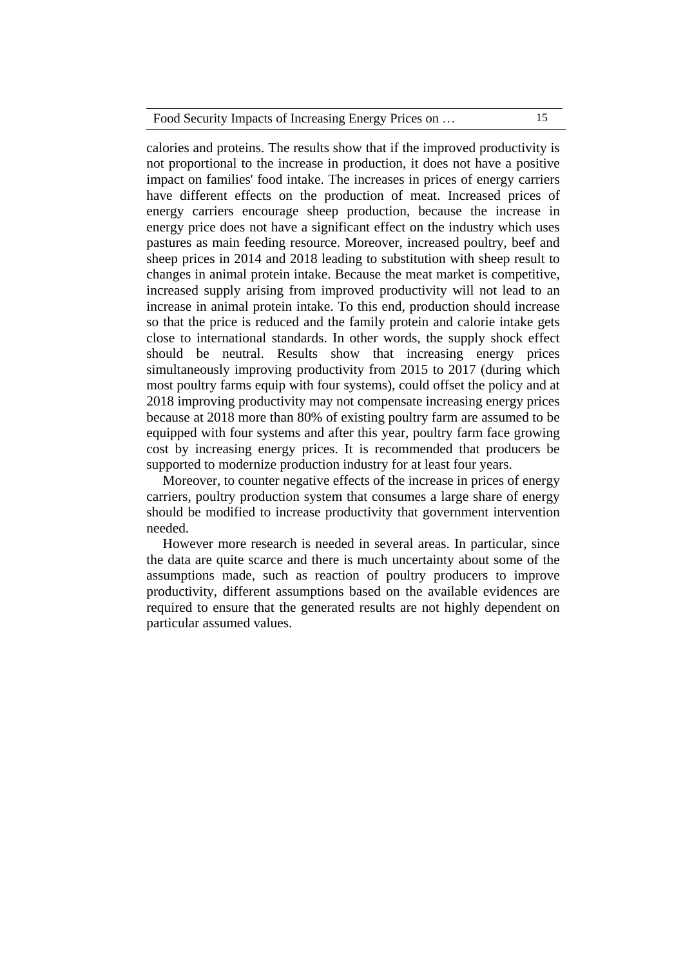| Food Security Impacts of Increasing Energy Prices on |  |
|------------------------------------------------------|--|
|                                                      |  |

calories and proteins. The results show that if the improved productivity is not proportional to the increase in production, it does not have a positive impact on families' food intake. The increases in prices of energy carriers have different effects on the production of meat. Increased prices of energy carriers encourage sheep production, because the increase in energy price does not have a significant effect on the industry which uses pastures as main feeding resource. Moreover, increased poultry, beef and sheep prices in 2014 and 2018 leading to substitution with sheep result to changes in animal protein intake. Because the meat market is competitive, increased supply arising from improved productivity will not lead to an increase in animal protein intake. To this end, production should increase so that the price is reduced and the family protein and calorie intake gets close to international standards. In other words, the supply shock effect should be neutral. Results show that increasing energy prices simultaneously improving productivity from 2015 to 2017 (during which most poultry farms equip with four systems), could offset the policy and at 2018 improving productivity may not compensate increasing energy prices because at 2018 more than 80% of existing poultry farm are assumed to be equipped with four systems and after this year, poultry farm face growing cost by increasing energy prices. It is recommended that producers be supported to modernize production industry for at least four years.

Moreover, to counter negative effects of the increase in prices of energy carriers, poultry production system that consumes a large share of energy should be modified to increase productivity that government intervention needed.

However more research is needed in several areas. In particular, since the data are quite scarce and there is much uncertainty about some of the assumptions made, such as reaction of poultry producers to improve productivity, different assumptions based on the available evidences are required to ensure that the generated results are not highly dependent on particular assumed values.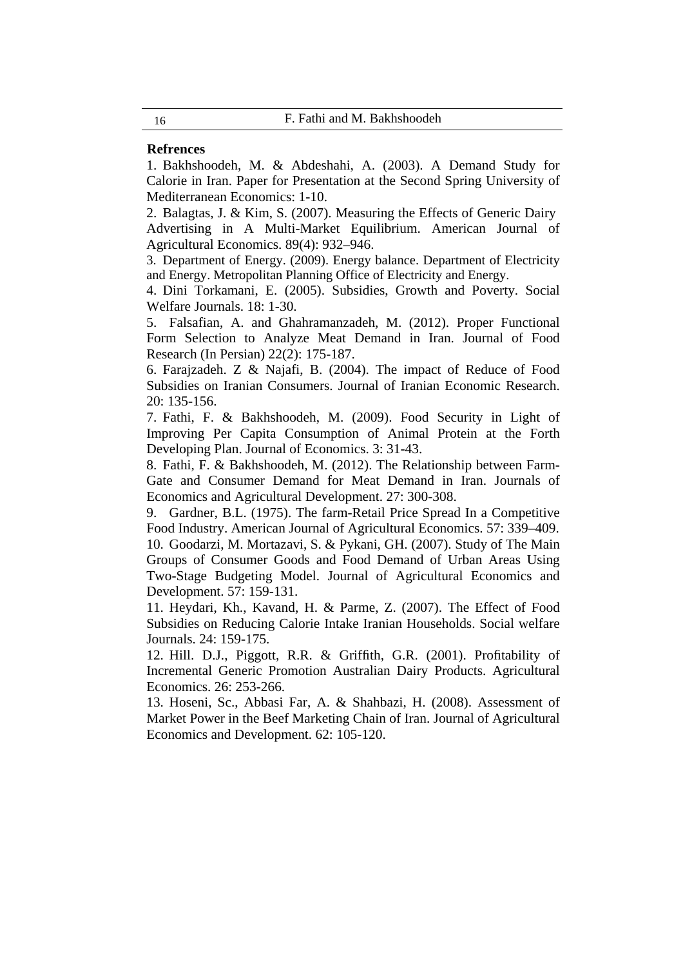## **Refrences**

1. Bakhshoodeh, M. & Abdeshahi, A. (2003). A Demand Study for Calorie in Iran. Paper for Presentation at the Second Spring University of Mediterranean Economics: 1-10.

2. Balagtas, J. & Kim, S. (2007). Measuring the Effects of Generic Dairy Advertising in A Multi-Market Equilibrium. American Journal of Agricultural Economics. 89(4): 932–946.

3. Department of Energy. (2009). Energy balance. Department of Electricity and Energy. Metropolitan Planning Office of Electricity and Energy.

4. Dini Torkamani, E. (2005). Subsidies, Growth and Poverty. Social Welfare Journals. 18: 1-30.

5. Falsafian, A. and Ghahramanzadeh, M. (2012). Proper Functional Form Selection to Analyze Meat Demand in Iran. Journal of Food Research (In Persian) 22(2): 175-187.

6. Farajzadeh. Z & Najafi, B. (2004). The impact of Reduce of Food Subsidies on Iranian Consumers. Journal of Iranian Economic Research. 20: 135-156.

7. Fathi, F. & Bakhshoodeh, M. (2009). Food Security in Light of Improving Per Capita Consumption of Animal Protein at the Forth Developing Plan. Journal of Economics. 3: 31-43.

8. Fathi, F. & Bakhshoodeh, M. (2012). The Relationship between Farm-Gate and Consumer Demand for Meat Demand in Iran. Journals of Economics and Agricultural Development. 27: 300-308.

9. Gardner, B.L. (1975). The farm-Retail Price Spread In a Competitive Food Industry. American Journal of Agricultural Economics. 57: 339–409. 10. Goodarzi, M. Mortazavi, S. & Pykani, GH. (2007). Study of The Main Groups of Consumer Goods and Food Demand of Urban Areas Using Two-Stage Budgeting Model. Journal of Agricultural Economics and Development. 57: 159-131.

11. Heydari, Kh., Kavand, H. & Parme, Z. (2007). The Effect of Food Subsidies on Reducing Calorie Intake Iranian Households. Social welfare Journals. 24: 159-175.

12. Hill. D.J., Piggott, R.R. & Griffith, G.R. (2001). Profitability of Incremental Generic Promotion Australian Dairy Products. Agricultural Economics. 26: 253-266.

13. Hoseni, Sc., Abbasi Far, A. & Shahbazi, H. (2008). Assessment of Market Power in the Beef Marketing Chain of Iran. Journal of Agricultural Economics and Development. 62: 105-120.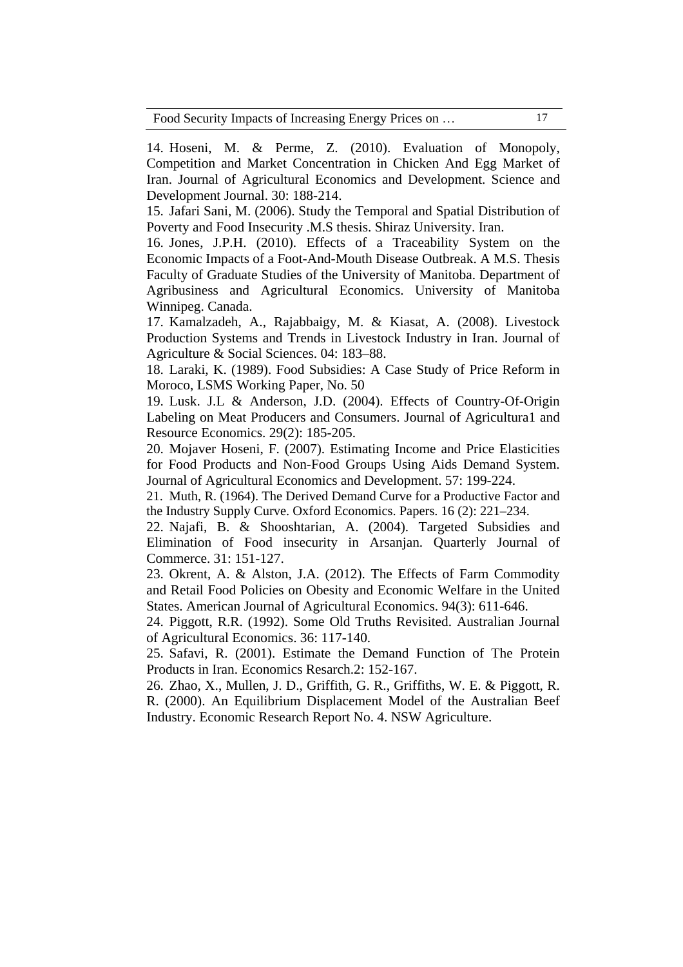Food Security Impacts of Increasing Energy Prices on … 17

14. Hoseni, M. & Perme, Z. (2010). Evaluation of Monopoly, Competition and Market Concentration in Chicken And Egg Market of Iran. Journal of Agricultural Economics and Development. Science and Development Journal. 30: 188-214.

15. Jafari Sani, M. (2006). Study the Temporal and Spatial Distribution of Poverty and Food Insecurity .M.S thesis. Shiraz University. Iran.

16. Jones, J.P.H. (2010). Effects of a Traceability System on the Economic Impacts of a Foot-And-Mouth Disease Outbreak. A M.S. Thesis Faculty of Graduate Studies of the University of Manitoba. Department of Agribusiness and Agricultural Economics. University of Manitoba Winnipeg. Canada.

17. Kamalzadeh, A., Rajabbaigy, M. & Kiasat, A. (2008). Livestock Production Systems and Trends in Livestock Industry in Iran. Journal of Agriculture & Social Sciences. 04: 183–88.

18. Laraki, K. (1989). Food Subsidies: A Case Study of Price Reform in Moroco, LSMS Working Paper, No. 50

19. Lusk. J.L & Anderson, J.D. (2004). Effects of Country-Of-Origin Labeling on Meat Producers and Consumers. Journal of Agricultura1 and Resource Economics. 29(2): 185-205.

20. Mojaver Hoseni, F. (2007). Estimating Income and Price Elasticities for Food Products and Non-Food Groups Using Aids Demand System. Journal of Agricultural Economics and Development. 57: 199-224.

21. Muth, R. (1964). The Derived Demand Curve for a Productive Factor and the Industry Supply Curve. Oxford Economics. Papers. 16 (2): 221–234.

22. Najafi, B. & Shooshtarian, A. (2004). Targeted Subsidies and Elimination of Food insecurity in Arsanjan. Quarterly Journal of Commerce. 31: 151-127.

23. Okrent, A. & Alston, J.A. (2012). The Effects of Farm Commodity and Retail Food Policies on Obesity and Economic Welfare in the United States. American Journal of Agricultural Economics. 94(3): 611-646.

24. Piggott, R.R. (1992). Some Old Truths Revisited. Australian Journal of Agricultural Economics. 36: 117-140.

25. Safavi, R. (2001). Estimate the Demand Function of The Protein Products in Iran. Economics Resarch.2: 152-167.

26. Zhao, X., Mullen, J. D., Griffith, G. R., Griffiths, W. E. & Piggott, R. R. (2000). An Equilibrium Displacement Model of the Australian Beef Industry. Economic Research Report No. 4. NSW Agriculture.